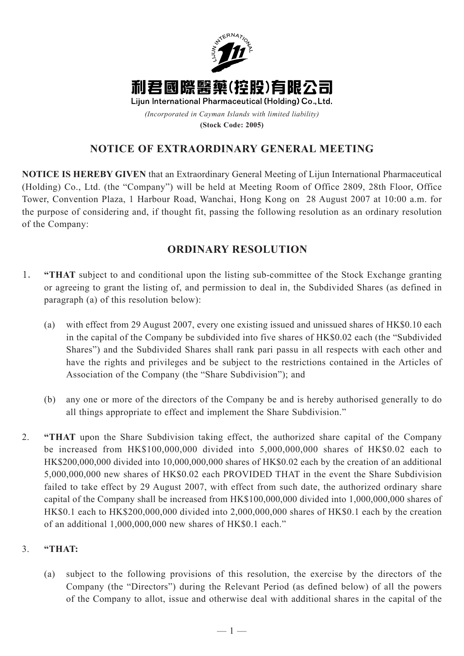

**(Stock Code: 2005)**

## **NOTICE OF EXTRAORDINARY GENERAL MEETING**

**NOTICE IS HEREBY GIVEN** that an Extraordinary General Meeting of Lijun International Pharmaceutical (Holding) Co., Ltd. (the "Company") will be held at Meeting Room of Office 2809, 28th Floor, Office Tower, Convention Plaza, 1 Harbour Road, Wanchai, Hong Kong on 28 August 2007 at 10:00 a.m. for the purpose of considering and, if thought fit, passing the following resolution as an ordinary resolution of the Company:

## **ORDINARY RESOLUTION**

- 1. **"THAT** subject to and conditional upon the listing sub-committee of the Stock Exchange granting or agreeing to grant the listing of, and permission to deal in, the Subdivided Shares (as defined in paragraph (a) of this resolution below):
	- (a) with effect from 29 August 2007, every one existing issued and unissued shares of HK\$0.10 each in the capital of the Company be subdivided into five shares of HK\$0.02 each (the "Subdivided Shares") and the Subdivided Shares shall rank pari passu in all respects with each other and have the rights and privileges and be subject to the restrictions contained in the Articles of Association of the Company (the "Share Subdivision"); and
	- (b) any one or more of the directors of the Company be and is hereby authorised generally to do all things appropriate to effect and implement the Share Subdivision."
- 2. **"THAT** upon the Share Subdivision taking effect, the authorized share capital of the Company be increased from HK\$100,000,000 divided into 5,000,000,000 shares of HK\$0.02 each to HK\$200,000,000 divided into 10,000,000,000 shares of HK\$0.02 each by the creation of an additional 5,000,000,000 new shares of HK\$0.02 each PROVIDED THAT in the event the Share Subdivision failed to take effect by 29 August 2007, with effect from such date, the authorized ordinary share capital of the Company shall be increased from HK\$100,000,000 divided into 1,000,000,000 shares of HK\$0.1 each to HK\$200,000,000 divided into 2,000,000,000 shares of HK\$0.1 each by the creation of an additional 1,000,000,000 new shares of HK\$0.1 each."

## 3. **"THAT:**

(a) subject to the following provisions of this resolution, the exercise by the directors of the Company (the "Directors") during the Relevant Period (as defined below) of all the powers of the Company to allot, issue and otherwise deal with additional shares in the capital of the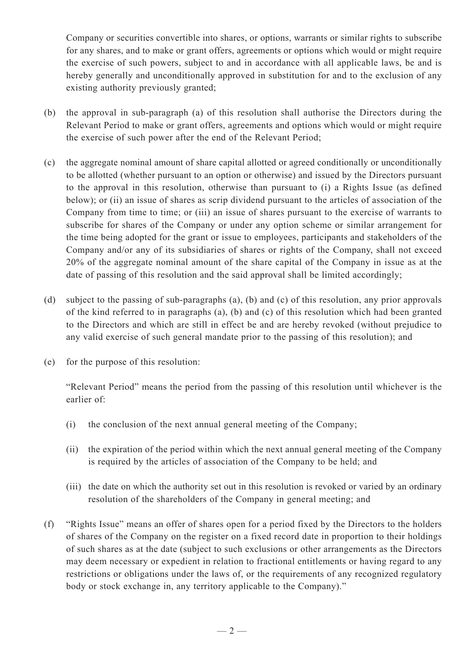Company or securities convertible into shares, or options, warrants or similar rights to subscribe for any shares, and to make or grant offers, agreements or options which would or might require the exercise of such powers, subject to and in accordance with all applicable laws, be and is hereby generally and unconditionally approved in substitution for and to the exclusion of any existing authority previously granted;

- (b) the approval in sub-paragraph (a) of this resolution shall authorise the Directors during the Relevant Period to make or grant offers, agreements and options which would or might require the exercise of such power after the end of the Relevant Period;
- (c) the aggregate nominal amount of share capital allotted or agreed conditionally or unconditionally to be allotted (whether pursuant to an option or otherwise) and issued by the Directors pursuant to the approval in this resolution, otherwise than pursuant to (i) a Rights Issue (as defined below); or (ii) an issue of shares as scrip dividend pursuant to the articles of association of the Company from time to time; or (iii) an issue of shares pursuant to the exercise of warrants to subscribe for shares of the Company or under any option scheme or similar arrangement for the time being adopted for the grant or issue to employees, participants and stakeholders of the Company and/or any of its subsidiaries of shares or rights of the Company, shall not exceed 20% of the aggregate nominal amount of the share capital of the Company in issue as at the date of passing of this resolution and the said approval shall be limited accordingly;
- (d) subject to the passing of sub-paragraphs (a), (b) and (c) of this resolution, any prior approvals of the kind referred to in paragraphs (a), (b) and (c) of this resolution which had been granted to the Directors and which are still in effect be and are hereby revoked (without prejudice to any valid exercise of such general mandate prior to the passing of this resolution); and
- (e) for the purpose of this resolution:

"Relevant Period" means the period from the passing of this resolution until whichever is the earlier of:

- (i) the conclusion of the next annual general meeting of the Company;
- (ii) the expiration of the period within which the next annual general meeting of the Company is required by the articles of association of the Company to be held; and
- (iii) the date on which the authority set out in this resolution is revoked or varied by an ordinary resolution of the shareholders of the Company in general meeting; and
- (f) "Rights Issue" means an offer of shares open for a period fixed by the Directors to the holders of shares of the Company on the register on a fixed record date in proportion to their holdings of such shares as at the date (subject to such exclusions or other arrangements as the Directors may deem necessary or expedient in relation to fractional entitlements or having regard to any restrictions or obligations under the laws of, or the requirements of any recognized regulatory body or stock exchange in, any territory applicable to the Company)."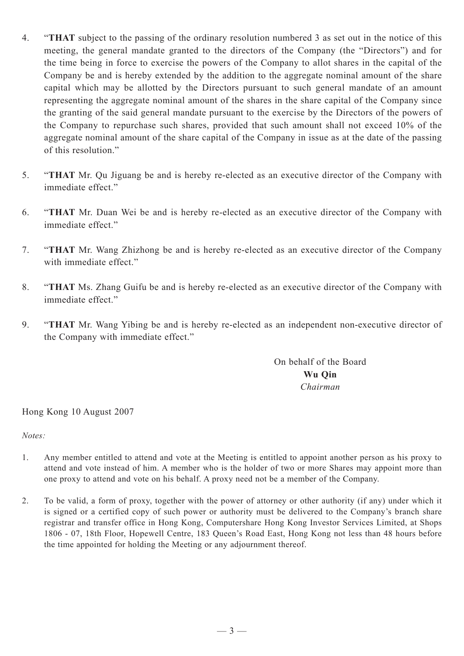- 4. "**THAT** subject to the passing of the ordinary resolution numbered 3 as set out in the notice of this meeting, the general mandate granted to the directors of the Company (the "Directors") and for the time being in force to exercise the powers of the Company to allot shares in the capital of the Company be and is hereby extended by the addition to the aggregate nominal amount of the share capital which may be allotted by the Directors pursuant to such general mandate of an amount representing the aggregate nominal amount of the shares in the share capital of the Company since the granting of the said general mandate pursuant to the exercise by the Directors of the powers of the Company to repurchase such shares, provided that such amount shall not exceed 10% of the aggregate nominal amount of the share capital of the Company in issue as at the date of the passing of this resolution."
- 5. "**THAT** Mr. Qu Jiguang be and is hereby re-elected as an executive director of the Company with immediate effect."
- 6. "**THAT** Mr. Duan Wei be and is hereby re-elected as an executive director of the Company with immediate effect."
- 7. "**THAT** Mr. Wang Zhizhong be and is hereby re-elected as an executive director of the Company with immediate effect."
- 8. "**THAT** Ms. Zhang Guifu be and is hereby re-elected as an executive director of the Company with immediate effect."
- 9. "**THAT** Mr. Wang Yibing be and is hereby re-elected as an independent non-executive director of the Company with immediate effect."

On behalf of the Board **Wu Qin** *Chairman*

Hong Kong 10 August 2007

*Notes:*

- 1. Any member entitled to attend and vote at the Meeting is entitled to appoint another person as his proxy to attend and vote instead of him. A member who is the holder of two or more Shares may appoint more than one proxy to attend and vote on his behalf. A proxy need not be a member of the Company.
- 2. To be valid, a form of proxy, together with the power of attorney or other authority (if any) under which it is signed or a certified copy of such power or authority must be delivered to the Company's branch share registrar and transfer office in Hong Kong, Computershare Hong Kong Investor Services Limited, at Shops 1806 - 07, 18th Floor, Hopewell Centre, 183 Queen's Road East, Hong Kong not less than 48 hours before the time appointed for holding the Meeting or any adjournment thereof.